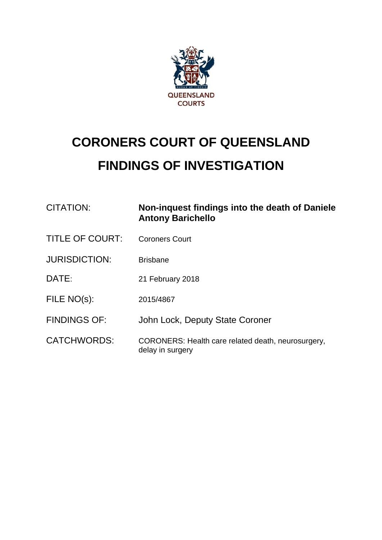

# **CORONERS COURT OF QUEENSLAND FINDINGS OF INVESTIGATION**

| <b>CITATION:</b>       | Non-inquest findings into the death of Daniele<br><b>Antony Barichello</b> |  |
|------------------------|----------------------------------------------------------------------------|--|
| <b>TITLE OF COURT:</b> | <b>Coroners Court</b>                                                      |  |
| <b>JURISDICTION:</b>   | <b>Brisbane</b>                                                            |  |
| DATE:                  | 21 February 2018                                                           |  |
| FILE NO(s):            | 2015/4867                                                                  |  |
| <b>FINDINGS OF:</b>    | John Lock, Deputy State Coroner                                            |  |
| <b>CATCHWORDS:</b>     | CORONERS: Health care related death, neurosurgery,<br>delay in surgery     |  |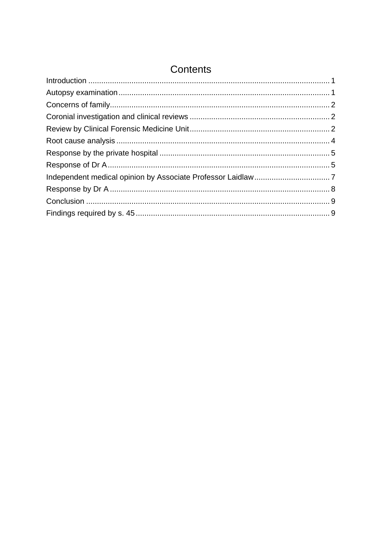| Contents |  |  |
|----------|--|--|
|          |  |  |
|          |  |  |
|          |  |  |
|          |  |  |
|          |  |  |
|          |  |  |
|          |  |  |
|          |  |  |
|          |  |  |
|          |  |  |
|          |  |  |
|          |  |  |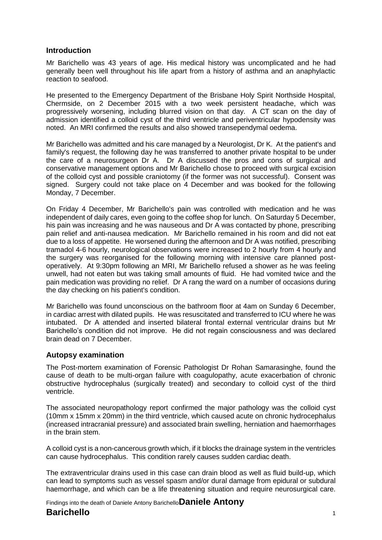#### <span id="page-2-0"></span>**Introduction**

Mr Barichello was 43 years of age. His medical history was uncomplicated and he had generally been well throughout his life apart from a history of asthma and an anaphylactic reaction to seafood.

He presented to the Emergency Department of the Brisbane Holy Spirit Northside Hospital, Chermside, on 2 December 2015 with a two week persistent headache, which was progressively worsening, including blurred vision on that day. A CT scan on the day of admission identified a colloid cyst of the third ventricle and periventricular hypodensity was noted. An MRI confirmed the results and also showed transependymal oedema.

Mr Barichello was admitted and his care managed by a Neurologist, Dr K. At the patient's and family's request, the following day he was transferred to another private hospital to be under the care of a neurosurgeon Dr A. Dr A discussed the pros and cons of surgical and conservative management options and Mr Barichello chose to proceed with surgical excision of the colloid cyst and possible craniotomy (if the former was not successful). Consent was signed. Surgery could not take place on 4 December and was booked for the following Monday, 7 December.

On Friday 4 December, Mr Barichello's pain was controlled with medication and he was independent of daily cares, even going to the coffee shop for lunch. On Saturday 5 December, his pain was increasing and he was nauseous and Dr A was contacted by phone, prescribing pain relief and anti-nausea medication. Mr Barichello remained in his room and did not eat due to a loss of appetite. He worsened during the afternoon and Dr A was notified, prescribing tramadol 4-6 hourly, neurological observations were increased to 2 hourly from 4 hourly and the surgery was reorganised for the following morning with intensive care planned postoperatively. At 9:30pm following an MRI, Mr Barichello refused a shower as he was feeling unwell, had not eaten but was taking small amounts of fluid. He had vomited twice and the pain medication was providing no relief. Dr A rang the ward on a number of occasions during the day checking on his patient's condition.

Mr Barichello was found unconscious on the bathroom floor at 4am on Sunday 6 December, in cardiac arrest with dilated pupils. He was resuscitated and transferred to ICU where he was intubated. Dr A attended and inserted bilateral frontal external ventricular drains but Mr Barichello's condition did not improve. He did not regain consciousness and was declared brain dead on 7 December.

## <span id="page-2-1"></span>**Autopsy examination**

The Post-mortem examination of Forensic Pathologist Dr Rohan Samarasinghe, found the cause of death to be multi-organ failure with coagulopathy, acute exacerbation of chronic obstructive hydrocephalus (surgically treated) and secondary to colloid cyst of the third ventricle.

The associated neuropathology report confirmed the major pathology was the colloid cyst (10mm x 15mm x 20mm) in the third ventricle, which caused acute on chronic hydrocephalus (increased intracranial pressure) and associated brain swelling, herniation and haemorrhages in the brain stem.

A colloid cyst is a non-cancerous growth which, if it blocks the drainage system in the ventricles can cause hydrocephalus. This condition rarely causes sudden cardiac death.

The extraventricular drains used in this case can drain blood as well as fluid build-up, which can lead to symptoms such as vessel spasm and/or dural damage from epidural or subdural haemorrhage, and which can be a life threatening situation and require neurosurgical care.

Findings into the death of Daniele Antony Barichello**Daniele Antony** 

## **Barichello** <sup>1</sup>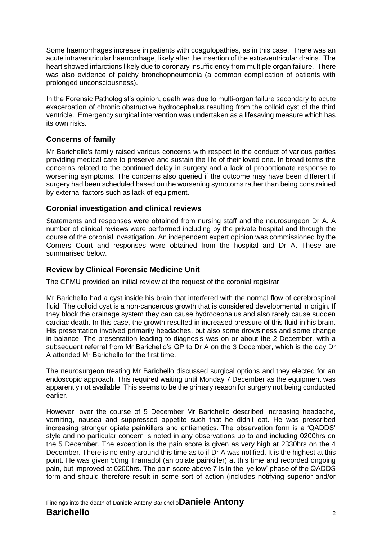Some haemorrhages increase in patients with coagulopathies, as in this case. There was an acute intraventricular haemorrhage, likely after the insertion of the extraventricular drains. The heart showed infarctions likely due to coronary insufficiency from multiple organ failure. There was also evidence of patchy bronchopneumonia (a common complication of patients with prolonged unconsciousness).

In the Forensic Pathologist's opinion, death was due to multi-organ failure secondary to acute exacerbation of chronic obstructive hydrocephalus resulting from the colloid cyst of the third ventricle. Emergency surgical intervention was undertaken as a lifesaving measure which has its own risks.

# <span id="page-3-0"></span>**Concerns of family**

Mr Barichello's family raised various concerns with respect to the conduct of various parties providing medical care to preserve and sustain the life of their loved one. In broad terms the concerns related to the continued delay in surgery and a lack of proportionate response to worsening symptoms. The concerns also queried if the outcome may have been different if surgery had been scheduled based on the worsening symptoms rather than being constrained by external factors such as lack of equipment.

#### <span id="page-3-1"></span>**Coronial investigation and clinical reviews**

Statements and responses were obtained from nursing staff and the neurosurgeon Dr A. A number of clinical reviews were performed including by the private hospital and through the course of the coronial investigation. An independent expert opinion was commissioned by the Corners Court and responses were obtained from the hospital and Dr A. These are summarised below.

#### <span id="page-3-2"></span>**Review by Clinical Forensic Medicine Unit**

The CFMU provided an initial review at the request of the coronial registrar.

Mr Barichello had a cyst inside his brain that interfered with the normal flow of cerebrospinal fluid. The colloid cyst is a non-cancerous growth that is considered developmental in origin. If they block the drainage system they can cause hydrocephalus and also rarely cause sudden cardiac death. In this case, the growth resulted in increased pressure of this fluid in his brain. His presentation involved primarily headaches, but also some drowsiness and some change in balance. The presentation leading to diagnosis was on or about the 2 December, with a subsequent referral from Mr Barichello's GP to Dr A on the 3 December, which is the day Dr A attended Mr Barichello for the first time.

The neurosurgeon treating Mr Barichello discussed surgical options and they elected for an endoscopic approach. This required waiting until Monday 7 December as the equipment was apparently not available. This seems to be the primary reason for surgery not being conducted earlier.

However, over the course of 5 December Mr Barichello described increasing headache, vomiting, nausea and suppressed appetite such that he didn't eat. He was prescribed increasing stronger opiate painkillers and antiemetics. The observation form is a 'QADDS' style and no particular concern is noted in any observations up to and including 0200hrs on the 5 December. The exception is the pain score is given as very high at 2330hrs on the 4 December. There is no entry around this time as to if Dr A was notified. It is the highest at this point. He was given 50mg Tramadol (an opiate painkiller) at this time and recorded ongoing pain, but improved at 0200hrs. The pain score above 7 is in the 'yellow' phase of the QADDS form and should therefore result in some sort of action (includes notifying superior and/or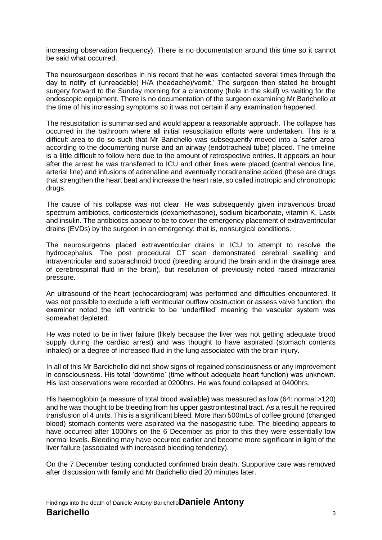increasing observation frequency). There is no documentation around this time so it cannot be said what occurred.

The neurosurgeon describes in his record that he was 'contacted several times through the day to notify of (unreadable) H/A (headache)/vomit.' The surgeon then stated he brought surgery forward to the Sunday morning for a craniotomy (hole in the skull) vs waiting for the endoscopic equipment. There is no documentation of the surgeon examining Mr Barichello at the time of his increasing symptoms so it was not certain if any examination happened.

The resuscitation is summarised and would appear a reasonable approach. The collapse has occurred in the bathroom where all initial resuscitation efforts were undertaken. This is a difficult area to do so such that Mr Barichello was subsequently moved into a 'safer area' according to the documenting nurse and an airway (endotracheal tube) placed. The timeline is a little difficult to follow here due to the amount of retrospective entries. It appears an hour after the arrest he was transferred to ICU and other lines were placed (central venous line, arterial line) and infusions of adrenaline and eventually noradrenaline added (these are drugs that strengthen the heart beat and increase the heart rate, so called inotropic and chronotropic drugs.

The cause of his collapse was not clear. He was subsequently given intravenous broad spectrum antibiotics, corticosteroids (dexamethasone), sodium bicarbonate, vitamin K, Lasix and insulin. The antibiotics appear to be to cover the emergency placement of extraventricular drains (EVDs) by the surgeon in an emergency; that is, nonsurgical conditions.

The neurosurgeons placed extraventricular drains in ICU to attempt to resolve the hydrocephalus. The post procedural CT scan demonstrated cerebral swelling and intraventricular and subarachnoid blood (bleeding around the brain and in the drainage area of cerebrospinal fluid in the brain), but resolution of previously noted raised intracranial pressure.

An ultrasound of the heart (echocardiogram) was performed and difficulties encountered. It was not possible to exclude a left ventricular outflow obstruction or assess valve function; the examiner noted the left ventricle to be 'underfilled' meaning the vascular system was somewhat depleted.

He was noted to be in liver failure (likely because the liver was not getting adequate blood supply during the cardiac arrest) and was thought to have aspirated (stomach contents inhaled) or a degree of increased fluid in the lung associated with the brain injury.

In all of this Mr Barcichello did not show signs of regained consciousness or any improvement in consciousness. His total 'downtime' (time without adequate heart function) was unknown. His last observations were recorded at 0200hrs. He was found collapsed at 0400hrs.

His haemoglobin (a measure of total blood available) was measured as low (64: normal >120) and he was thought to be bleeding from his upper gastrointestinal tract. As a result he required transfusion of 4 units. This is a significant bleed. More than 500mLs of coffee ground (changed blood) stomach contents were aspirated via the nasogastric tube. The bleeding appears to have occurred after 1000hrs on the 6 December as prior to this they were essentially low normal levels. Bleeding may have occurred earlier and become more significant in light of the liver failure (associated with increased bleeding tendency).

On the 7 December testing conducted confirmed brain death. Supportive care was removed after discussion with family and Mr Barichello died 20 minutes later.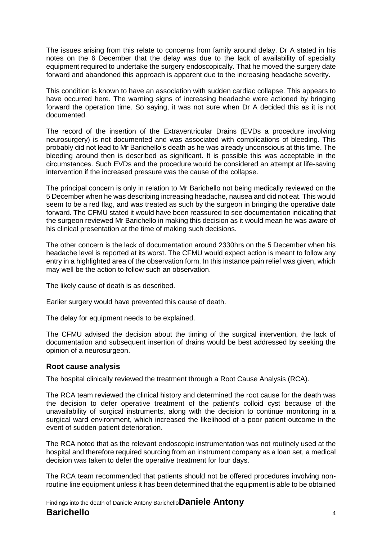The issues arising from this relate to concerns from family around delay. Dr A stated in his notes on the 6 December that the delay was due to the lack of availability of specialty equipment required to undertake the surgery endoscopically. That he moved the surgery date forward and abandoned this approach is apparent due to the increasing headache severity.

This condition is known to have an association with sudden cardiac collapse. This appears to have occurred here. The warning signs of increasing headache were actioned by bringing forward the operation time. So saying, it was not sure when Dr A decided this as it is not documented.

The record of the insertion of the Extraventricular Drains (EVDs a procedure involving neurosurgery) is not documented and was associated with complications of bleeding. This probably did not lead to Mr Barichello's death as he was already unconscious at this time. The bleeding around then is described as significant. It is possible this was acceptable in the circumstances. Such EVDs and the procedure would be considered an attempt at life-saving intervention if the increased pressure was the cause of the collapse.

The principal concern is only in relation to Mr Barichello not being medically reviewed on the 5 December when he was describing increasing headache, nausea and did not eat. This would seem to be a red flag, and was treated as such by the surgeon in bringing the operative date forward. The CFMU stated it would have been reassured to see documentation indicating that the surgeon reviewed Mr Barichello in making this decision as it would mean he was aware of his clinical presentation at the time of making such decisions.

The other concern is the lack of documentation around 2330hrs on the 5 December when his headache level is reported at its worst. The CFMU would expect action is meant to follow any entry in a highlighted area of the observation form. In this instance pain relief was given, which may well be the action to follow such an observation.

The likely cause of death is as described.

Earlier surgery would have prevented this cause of death.

The delay for equipment needs to be explained.

The CFMU advised the decision about the timing of the surgical intervention, the lack of documentation and subsequent insertion of drains would be best addressed by seeking the opinion of a neurosurgeon.

## <span id="page-5-0"></span>**Root cause analysis**

The hospital clinically reviewed the treatment through a Root Cause Analysis (RCA).

The RCA team reviewed the clinical history and determined the root cause for the death was the decision to defer operative treatment of the patient's colloid cyst because of the unavailability of surgical instruments, along with the decision to continue monitoring in a surgical ward environment, which increased the likelihood of a poor patient outcome in the event of sudden patient deterioration.

The RCA noted that as the relevant endoscopic instrumentation was not routinely used at the hospital and therefore required sourcing from an instrument company as a loan set, a medical decision was taken to defer the operative treatment for four days.

The RCA team recommended that patients should not be offered procedures involving nonroutine line equipment unless it has been determined that the equipment is able to be obtained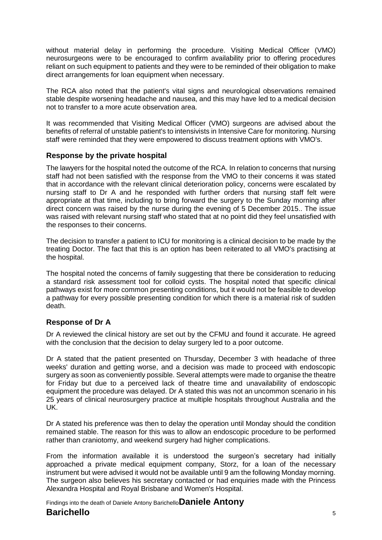without material delay in performing the procedure. Visiting Medical Officer (VMO) neurosurgeons were to be encouraged to confirm availability prior to offering procedures reliant on such equipment to patients and they were to be reminded of their obligation to make direct arrangements for loan equipment when necessary.

The RCA also noted that the patient's vital signs and neurological observations remained stable despite worsening headache and nausea, and this may have led to a medical decision not to transfer to a more acute observation area.

It was recommended that Visiting Medical Officer (VMO) surgeons are advised about the benefits of referral of unstable patient's to intensivists in Intensive Care for monitoring. Nursing staff were reminded that they were empowered to discuss treatment options with VMO's.

## <span id="page-6-0"></span>**Response by the private hospital**

The lawyers for the hospital noted the outcome of the RCA. In relation to concerns that nursing staff had not been satisfied with the response from the VMO to their concerns it was stated that in accordance with the relevant clinical deterioration policy, concerns were escalated by nursing staff to Dr A and he responded with further orders that nursing staff felt were appropriate at that time, including to bring forward the surgery to the Sunday morning after direct concern was raised by the nurse during the evening of 5 December 2015.. The issue was raised with relevant nursing staff who stated that at no point did they feel unsatisfied with the responses to their concerns.

The decision to transfer a patient to ICU for monitoring is a clinical decision to be made by the treating Doctor. The fact that this is an option has been reiterated to all VMO's practising at the hospital.

The hospital noted the concerns of family suggesting that there be consideration to reducing a standard risk assessment tool for colloid cysts. The hospital noted that specific clinical pathways exist for more common presenting conditions, but it would not be feasible to develop a pathway for every possible presenting condition for which there is a material risk of sudden death.

## <span id="page-6-1"></span>**Response of Dr A**

Dr A reviewed the clinical history are set out by the CFMU and found it accurate. He agreed with the conclusion that the decision to delay surgery led to a poor outcome.

Dr A stated that the patient presented on Thursday, December 3 with headache of three weeks' duration and getting worse, and a decision was made to proceed with endoscopic surgery as soon as conveniently possible. Several attempts were made to organise the theatre for Friday but due to a perceived lack of theatre time and unavailability of endoscopic equipment the procedure was delayed. Dr A stated this was not an uncommon scenario in his 25 years of clinical neurosurgery practice at multiple hospitals throughout Australia and the UK.

Dr A stated his preference was then to delay the operation until Monday should the condition remained stable. The reason for this was to allow an endoscopic procedure to be performed rather than craniotomy, and weekend surgery had higher complications.

From the information available it is understood the surgeon's secretary had initially approached a private medical equipment company, Storz, for a loan of the necessary instrument but were advised it would not be available until 9 am the following Monday morning. The surgeon also believes his secretary contacted or had enquiries made with the Princess Alexandra Hospital and Royal Brisbane and Women's Hospital.

Findings into the death of Daniele Antony Barichello**Daniele Antony** 

# **Barichello** <sup>5</sup>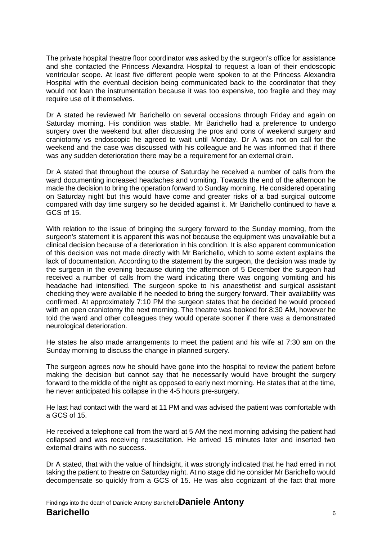The private hospital theatre floor coordinator was asked by the surgeon's office for assistance and she contacted the Princess Alexandra Hospital to request a loan of their endoscopic ventricular scope. At least five different people were spoken to at the Princess Alexandra Hospital with the eventual decision being communicated back to the coordinator that they would not loan the instrumentation because it was too expensive, too fragile and they may require use of it themselves.

Dr A stated he reviewed Mr Barichello on several occasions through Friday and again on Saturday morning. His condition was stable. Mr Barichello had a preference to undergo surgery over the weekend but after discussing the pros and cons of weekend surgery and craniotomy vs endoscopic he agreed to wait until Monday. Dr A was not on call for the weekend and the case was discussed with his colleague and he was informed that if there was any sudden deterioration there may be a requirement for an external drain.

Dr A stated that throughout the course of Saturday he received a number of calls from the ward documenting increased headaches and vomiting. Towards the end of the afternoon he made the decision to bring the operation forward to Sunday morning. He considered operating on Saturday night but this would have come and greater risks of a bad surgical outcome compared with day time surgery so he decided against it. Mr Barichello continued to have a GCS of 15.

With relation to the issue of bringing the surgery forward to the Sunday morning, from the surgeon's statement it is apparent this was not because the equipment was unavailable but a clinical decision because of a deterioration in his condition. It is also apparent communication of this decision was not made directly with Mr Barichello, which to some extent explains the lack of documentation. According to the statement by the surgeon, the decision was made by the surgeon in the evening because during the afternoon of 5 December the surgeon had received a number of calls from the ward indicating there was ongoing vomiting and his headache had intensified. The surgeon spoke to his anaesthetist and surgical assistant checking they were available if he needed to bring the surgery forward. Their availability was confirmed. At approximately 7:10 PM the surgeon states that he decided he would proceed with an open craniotomy the next morning. The theatre was booked for 8:30 AM, however he told the ward and other colleagues they would operate sooner if there was a demonstrated neurological deterioration.

He states he also made arrangements to meet the patient and his wife at 7:30 am on the Sunday morning to discuss the change in planned surgery.

The surgeon agrees now he should have gone into the hospital to review the patient before making the decision but cannot say that he necessarily would have brought the surgery forward to the middle of the night as opposed to early next morning. He states that at the time, he never anticipated his collapse in the 4-5 hours pre-surgery.

He last had contact with the ward at 11 PM and was advised the patient was comfortable with a GCS of 15.

He received a telephone call from the ward at 5 AM the next morning advising the patient had collapsed and was receiving resuscitation. He arrived 15 minutes later and inserted two external drains with no success.

Dr A stated, that with the value of hindsight, it was strongly indicated that he had erred in not taking the patient to theatre on Saturday night. At no stage did he consider Mr Barichello would decompensate so quickly from a GCS of 15. He was also cognizant of the fact that more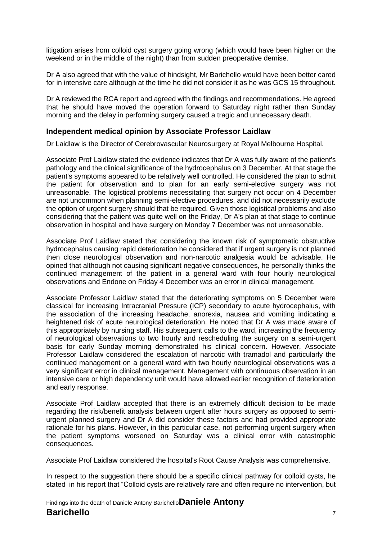litigation arises from colloid cyst surgery going wrong (which would have been higher on the weekend or in the middle of the night) than from sudden preoperative demise.

Dr A also agreed that with the value of hindsight, Mr Barichello would have been better cared for in intensive care although at the time he did not consider it as he was GCS 15 throughout.

Dr A reviewed the RCA report and agreed with the findings and recommendations. He agreed that he should have moved the operation forward to Saturday night rather than Sunday morning and the delay in performing surgery caused a tragic and unnecessary death.

#### <span id="page-8-0"></span>**Independent medical opinion by Associate Professor Laidlaw**

Dr Laidlaw is the Director of Cerebrovascular Neurosurgery at Royal Melbourne Hospital.

Associate Prof Laidlaw stated the evidence indicates that Dr A was fully aware of the patient's pathology and the clinical significance of the hydrocephalus on 3 December. At that stage the patient's symptoms appeared to be relatively well controlled. He considered the plan to admit the patient for observation and to plan for an early semi-elective surgery was not unreasonable. The logistical problems necessitating that surgery not occur on 4 December are not uncommon when planning semi-elective procedures, and did not necessarily exclude the option of urgent surgery should that be required. Given those logistical problems and also considering that the patient was quite well on the Friday, Dr A's plan at that stage to continue observation in hospital and have surgery on Monday 7 December was not unreasonable.

Associate Prof Laidlaw stated that considering the known risk of symptomatic obstructive hydrocephalus causing rapid deterioration he considered that if urgent surgery is not planned then close neurological observation and non-narcotic analgesia would be advisable. He opined that although not causing significant negative consequences, he personally thinks the continued management of the patient in a general ward with four hourly neurological observations and Endone on Friday 4 December was an error in clinical management.

Associate Professor Laidlaw stated that the deteriorating symptoms on 5 December were classical for increasing Intracranial Pressure (ICP) secondary to acute hydrocephalus, with the association of the increasing headache, anorexia, nausea and vomiting indicating a heightened risk of acute neurological deterioration. He noted that Dr A was made aware of this appropriately by nursing staff. His subsequent calls to the ward, increasing the frequency of neurological observations to two hourly and rescheduling the surgery on a semi-urgent basis for early Sunday morning demonstrated his clinical concern. However, Associate Professor Laidlaw considered the escalation of narcotic with tramadol and particularly the continued management on a general ward with two hourly neurological observations was a very significant error in clinical management. Management with continuous observation in an intensive care or high dependency unit would have allowed earlier recognition of deterioration and early response.

Associate Prof Laidlaw accepted that there is an extremely difficult decision to be made regarding the risk/benefit analysis between urgent after hours surgery as opposed to semiurgent planned surgery and Dr A did consider these factors and had provided appropriate rationale for his plans. However, in this particular case, not performing urgent surgery when the patient symptoms worsened on Saturday was a clinical error with catastrophic consequences.

Associate Prof Laidlaw considered the hospital's Root Cause Analysis was comprehensive.

In respect to the suggestion there should be a specific clinical pathway for colloid cysts, he stated in his report that "Colloid cysts are relatively rare and often require no intervention, but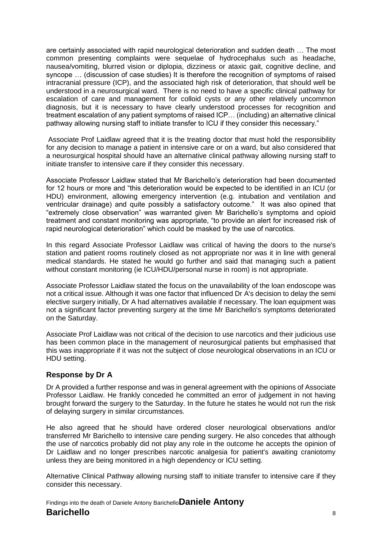are certainly associated with rapid neurological deterioration and sudden death … The most common presenting complaints were sequelae of hydrocephalus such as headache, nausea/vomiting, blurred vision or diplopia, dizziness or ataxic gait, cognitive decline, and syncope … (discussion of case studies) It is therefore the recognition of symptoms of raised intracranial pressure (ICP), and the associated high risk of deterioration, that should well be understood in a neurosurgical ward. There is no need to have a specific clinical pathway for escalation of care and management for colloid cysts or any other relatively uncommon diagnosis, but it is necessary to have clearly understood processes for recognition and treatment escalation of any patient symptoms of raised ICP… (including) an alternative clinical pathway allowing nursing staff to initiate transfer to ICU if they consider this necessary."

Associate Prof Laidlaw agreed that it is the treating doctor that must hold the responsibility for any decision to manage a patient in intensive care or on a ward, but also considered that a neurosurgical hospital should have an alternative clinical pathway allowing nursing staff to initiate transfer to intensive care if they consider this necessary.

Associate Professor Laidlaw stated that Mr Barichello's deterioration had been documented for 12 hours or more and "this deterioration would be expected to be identified in an ICU (or HDU) environment, allowing emergency intervention (e.g. intubation and ventilation and ventricular drainage) and quite possibly a satisfactory outcome." It was also opined that "extremely close observation" was warranted given Mr Barichello's symptoms and opioid treatment and constant monitoring was appropriate, "to provide an alert for increased risk of rapid neurological deterioration" which could be masked by the use of narcotics.

In this regard Associate Professor Laidlaw was critical of having the doors to the nurse's station and patient rooms routinely closed as not appropriate nor was it in line with general medical standards. He stated he would go further and said that managing such a patient without constant monitoring (ie ICU/HDU/personal nurse in room) is not appropriate.

Associate Professor Laidlaw stated the focus on the unavailability of the loan endoscope was not a critical issue. Although it was one factor that influenced Dr A's decision to delay the semi elective surgery initially, Dr A had alternatives available if necessary. The loan equipment was not a significant factor preventing surgery at the time Mr Barichello's symptoms deteriorated on the Saturday.

Associate Prof Laidlaw was not critical of the decision to use narcotics and their judicious use has been common place in the management of neurosurgical patients but emphasised that this was inappropriate if it was not the subject of close neurological observations in an ICU or HDU setting.

## <span id="page-9-0"></span>**Response by Dr A**

Dr A provided a further response and was in general agreement with the opinions of Associate Professor Laidlaw. He frankly conceded he committed an error of judgement in not having brought forward the surgery to the Saturday. In the future he states he would not run the risk of delaying surgery in similar circumstances.

He also agreed that he should have ordered closer neurological observations and/or transferred Mr Barichello to intensive care pending surgery. He also concedes that although the use of narcotics probably did not play any role in the outcome he accepts the opinion of Dr Laidlaw and no longer prescribes narcotic analgesia for patient's awaiting craniotomy unless they are being monitored in a high dependency or ICU setting.

Alternative Clinical Pathway allowing nursing staff to initiate transfer to intensive care if they consider this necessary.

Findings into the death of Daniele Antony Barichello**Daniele Antony Barichello** <sup>8</sup>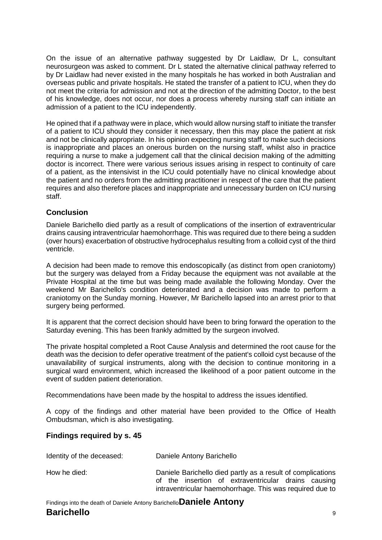On the issue of an alternative pathway suggested by Dr Laidlaw, Dr L, consultant neurosurgeon was asked to comment. Dr L stated the alternative clinical pathway referred to by Dr Laidlaw had never existed in the many hospitals he has worked in both Australian and overseas public and private hospitals. He stated the transfer of a patient to ICU, when they do not meet the criteria for admission and not at the direction of the admitting Doctor, to the best of his knowledge, does not occur, nor does a process whereby nursing staff can initiate an admission of a patient to the ICU independently.

He opined that if a pathway were in place, which would allow nursing staff to initiate the transfer of a patient to ICU should they consider it necessary, then this may place the patient at risk and not be clinically appropriate. In his opinion expecting nursing staff to make such decisions is inappropriate and places an onerous burden on the nursing staff, whilst also in practice requiring a nurse to make a judgement call that the clinical decision making of the admitting doctor is incorrect. There were various serious issues arising in respect to continuity of care of a patient, as the intensivist in the ICU could potentially have no clinical knowledge about the patient and no orders from the admitting practitioner in respect of the care that the patient requires and also therefore places and inappropriate and unnecessary burden on ICU nursing staff.

# <span id="page-10-0"></span>**Conclusion**

Daniele Barichello died partly as a result of complications of the insertion of extraventricular drains causing intraventricular haemohorrhage. This was required due to there being a sudden (over hours) exacerbation of obstructive hydrocephalus resulting from a colloid cyst of the third ventricle.

A decision had been made to remove this endoscopically (as distinct from open craniotomy) but the surgery was delayed from a Friday because the equipment was not available at the Private Hospital at the time but was being made available the following Monday. Over the weekend Mr Barichello's condition deteriorated and a decision was made to perform a craniotomy on the Sunday morning. However, Mr Barichello lapsed into an arrest prior to that surgery being performed.

It is apparent that the correct decision should have been to bring forward the operation to the Saturday evening. This has been frankly admitted by the surgeon involved.

The private hospital completed a Root Cause Analysis and determined the root cause for the death was the decision to defer operative treatment of the patient's colloid cyst because of the unavailability of surgical instruments, along with the decision to continue monitoring in a surgical ward environment, which increased the likelihood of a poor patient outcome in the event of sudden patient deterioration.

Recommendations have been made by the hospital to address the issues identified.

A copy of the findings and other material have been provided to the Office of Health Ombudsman, which is also investigating.

intraventricular haemohorrhage. This was required due to

## <span id="page-10-1"></span>**Findings required by s. 45**

| Identity of the deceased: | Daniele Antony Barichello                                   |
|---------------------------|-------------------------------------------------------------|
| How he died:              | Daniele Barichello died partly as a result of complications |
|                           | of the insertion of extraventricular drains causing         |

Findings into the death of Daniele Antony Barichello**Daniele Antony Barichello** <sup>9</sup>